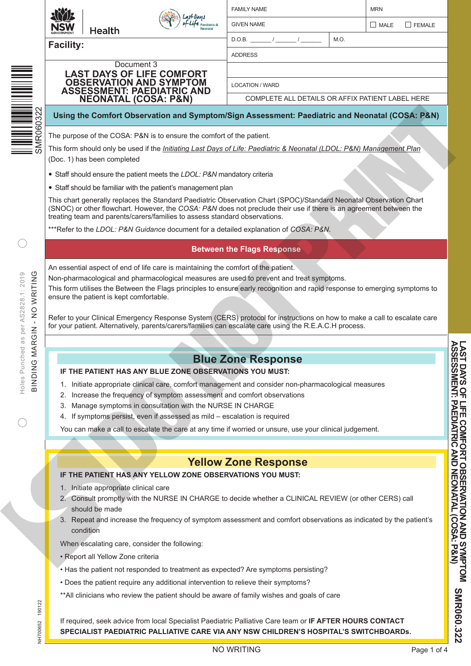

| <b>FAMILY NAME</b> | <b>MRN</b> |  |               |  |  |  |  |
|--------------------|------------|--|---------------|--|--|--|--|
| <b>GIVEN NAME</b>  |            |  | $MALE$ FEMALE |  |  |  |  |
| D.O.B.             | M.O.       |  |               |  |  |  |  |
| <b>ADDRESS</b>     |            |  |               |  |  |  |  |

**Facility:**

**AN** 

**LAST DAYS OF LIFE COMFORT OBSERVATION AND SYMPTOM ASSESSMENT: PAEDIATRIC AND** 

Document 3

LOCATION / WARD

COMPLETE ALL DETAILS OR AFFIX PATIENT LABEL HERE

#### **Using the Comfort Observation and Symptom/Sign Assessment: Paediatric and Neonatal (COSA: P&N)**

The purpose of the COSA: P&N is to ensure the comfort of the patient.

This form should only be used if the *Initiating Last Days of Life: Paediatric & Neonatal (LDOL: P&N) Management Plan* (Doc. 1) has been completed

- Staff should ensure the patient meets the *LDOL: P&N* mandatory criteria
- Staff should be familiar with the patient's management plan

This chart generally replaces the Standard Paediatric Observation Chart (SPOC)/Standard Neonatal Observation Chart (SNOC) or other flowchart. However, the *COSA: P&N* does not preclude their use if there is an agreement between the treating team and parents/carers/families to assess standard observations. **SPECIAL STRENGTHER THAT AND THE SPECIAL STRENGTHER CARE IS CONSULTED ANY ISOLATION CONSULTED ANY ISOLATION CONSULTED ANY ISOLATION CONSULTED ANY ISOLATION CONSULTED ANY ISOLATION CONSULTED ANY ISOLATION CONSULTED ANY ISOL** 

\*\*\*Refer to the *LDOL: P&N Guidance* document for a detailed explanation of *COSA: P&N*.

### **Between the Flags Response**

An essential aspect of end of life care is maintaining the comfort of the patient.

Non-pharmacological and pharmacological measures are used to prevent and treat symptoms.

This form utilises the Between the Flags principles to ensure early recognition and rapid response to emerging symptoms to ensure the patient is kept comfortable.

Refer to your Clinical Emergency Response System (CERS) protocol for instructions on how to make a call to escalate care for your patient. Alternatively, parents/carers/families can escalate care using the R.E.A.C.H process.

## **Blue Zone Response**

#### **IF THE PATIENT HAS ANY BLUE ZONE OBSERVATIONS YOU MUST:**

- 1. Initiate appropriate clinical care, comfort management and consider non-pharmacological measures
- 2. Increase the frequency of symptom assessment and comfort observations
- 3. Manage symptoms in consultation with the NURSE IN CHARGE
- 4. If symptoms persist, even if assessed as mild escalation is required

You can make a call to escalate the care at any time if worried or unsure, use your clinical judgement.

# **Yellow Zone Response**

#### **IF THE PATIENT HAS ANY YELLOW ZONE OBSERVATIONS YOU MUST:**

- 1. Initiate appropriate clinical care
- 2. Consult promptly with the NURSE IN CHARGE to decide whether a CLINICAL REVIEW (or other CERS) call should be made
- 3. Repeat and increase the frequency of symptom assessment and comfort observations as indicated by the patient's condition

When escalating care, consider the following:

- Report all Yellow Zone criteria
- Has the patient not responded to treatment as expected? Are symptoms persisting?
- Does the patient require any additional intervention to relieve their symptoms?
- \*\*All clinicians who review the patient should be aware of family wishes and goals of care

If required, seek advice from local Specialist Paediatric Palliative Care team or **IF AFTER HOURS CONTACT**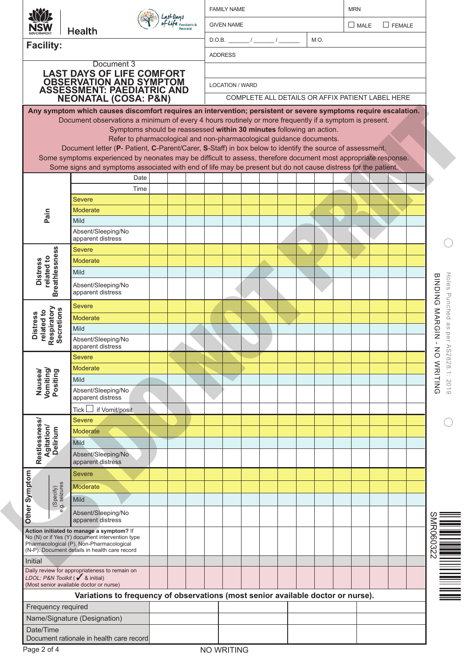| <b>GIVEN NAME</b><br>MALE<br>$\Box$ FEMALE<br><b>Health</b><br>$D.O.B.$ $/$ $/$ $/$<br>M.O.<br><b>Facility:</b><br><b>ADDRESS</b><br>Document 3<br><b>LAST DAYS OF LIFE COMFORT<br/>OBSERVATION AND SYMPTOM<br/>ASSESSMENT: PAEDIATRIC AND<br/>NEONATAL (COSA: P&amp;N)</b><br><b>LOCATION / WARD</b><br>COMPLETE ALL DETAILS OR AFFIX PATIENT LABEL HERE<br>Any symptom which causes discomfort requires an intervention; persistent or severe symptoms require escalation.<br>Document observations a minimum of every 4 hours routinely or more frequently if a symptom is present.<br>Symptoms should be reassessed within 30 minutes following an action.<br>Refer to pharmacological and non-pharmacological guidance documents.<br>Document letter (P- Patient, C-Parent/Carer, S-Staff) in box below to identify the source of assessment.<br>Some symptoms experienced by neonates may be difficult to assess, therefore document most appropriate response.<br>Some signs and symptoms associated with end of life may be present but do not cause distress for the patient.<br>Date<br>Time<br><b>Severe</b><br>Moderate<br>Pain<br><b>Mild</b><br>Absent/Sleeping/No<br>apparent distress<br><b>Breathlessness</b><br><b>Severe</b><br>related to<br><b>Distress</b><br>Moderate<br><b>Mild</b><br>BINDING NARGIN-<br>Holes Punched as per AS<br>Absent/Sleeping/No<br>apparent distress<br><b>Severe</b><br>Respiratory<br>Secretions<br>related to<br><b>Distress</b><br>Moderate<br>Mild<br>Absent/Sleeping/No<br>apparent distress<br>$\leq$<br>2828.1: 2019<br>Severe<br>WRITING<br>Moderate<br>Vomiting/<br>Positing<br>Nausea/<br>Mild<br>Absent/Sleeping/No<br>apparent distress<br>if Vomit/posit<br>Tick<br>Severe<br>Restlessness/<br><b>Agitation/</b><br>Delirium<br>Moderate<br>Mild<br>Absent/Sleeping/No<br>apparent distress<br>Other Symptom<br>Severe<br>(Specify)<br>9. seizures<br>Moderate<br>Mild<br>Absent/Sleeping/No<br>apparent distress<br>Action initiated to manage a symptom? If<br>No (N) or if Yes (Y) document intervention type<br>Pharmacological (P), Non-Pharmacological<br>(N-P). Document details in health care record<br>Initial<br>Daily review for appropriateness to remain on<br>LDOL: P&N Toolkit ( ↓ & initial)<br>(Most senior available doctor or nurse)<br>Variations to frequency of observations (most senior available doctor or nurse).<br>Frequency required<br>Name/Signature (Designation)<br>Date/Time |  |                                          |  |  |  | <b>FAMILY NAME</b> |  |  |  |  |  |  | <b>MRN</b> |  |  |  |  |  |  |
|-------------------------------------------------------------------------------------------------------------------------------------------------------------------------------------------------------------------------------------------------------------------------------------------------------------------------------------------------------------------------------------------------------------------------------------------------------------------------------------------------------------------------------------------------------------------------------------------------------------------------------------------------------------------------------------------------------------------------------------------------------------------------------------------------------------------------------------------------------------------------------------------------------------------------------------------------------------------------------------------------------------------------------------------------------------------------------------------------------------------------------------------------------------------------------------------------------------------------------------------------------------------------------------------------------------------------------------------------------------------------------------------------------------------------------------------------------------------------------------------------------------------------------------------------------------------------------------------------------------------------------------------------------------------------------------------------------------------------------------------------------------------------------------------------------------------------------------------------------------------------------------------------------------------------------------------------------------------------------------------------------------------------------------------------------------------------------------------------------------------------------------------------------------------------------------------------------------------------------------------------------------------------------------------------------------------------------------------------------------------------------------------------------------------------------------------------------------------------------|--|------------------------------------------|--|--|--|--------------------|--|--|--|--|--|--|------------|--|--|--|--|--|--|
|                                                                                                                                                                                                                                                                                                                                                                                                                                                                                                                                                                                                                                                                                                                                                                                                                                                                                                                                                                                                                                                                                                                                                                                                                                                                                                                                                                                                                                                                                                                                                                                                                                                                                                                                                                                                                                                                                                                                                                                                                                                                                                                                                                                                                                                                                                                                                                                                                                                                               |  |                                          |  |  |  |                    |  |  |  |  |  |  |            |  |  |  |  |  |  |
|                                                                                                                                                                                                                                                                                                                                                                                                                                                                                                                                                                                                                                                                                                                                                                                                                                                                                                                                                                                                                                                                                                                                                                                                                                                                                                                                                                                                                                                                                                                                                                                                                                                                                                                                                                                                                                                                                                                                                                                                                                                                                                                                                                                                                                                                                                                                                                                                                                                                               |  |                                          |  |  |  |                    |  |  |  |  |  |  |            |  |  |  |  |  |  |
|                                                                                                                                                                                                                                                                                                                                                                                                                                                                                                                                                                                                                                                                                                                                                                                                                                                                                                                                                                                                                                                                                                                                                                                                                                                                                                                                                                                                                                                                                                                                                                                                                                                                                                                                                                                                                                                                                                                                                                                                                                                                                                                                                                                                                                                                                                                                                                                                                                                                               |  |                                          |  |  |  |                    |  |  |  |  |  |  |            |  |  |  |  |  |  |
|                                                                                                                                                                                                                                                                                                                                                                                                                                                                                                                                                                                                                                                                                                                                                                                                                                                                                                                                                                                                                                                                                                                                                                                                                                                                                                                                                                                                                                                                                                                                                                                                                                                                                                                                                                                                                                                                                                                                                                                                                                                                                                                                                                                                                                                                                                                                                                                                                                                                               |  |                                          |  |  |  |                    |  |  |  |  |  |  |            |  |  |  |  |  |  |
|                                                                                                                                                                                                                                                                                                                                                                                                                                                                                                                                                                                                                                                                                                                                                                                                                                                                                                                                                                                                                                                                                                                                                                                                                                                                                                                                                                                                                                                                                                                                                                                                                                                                                                                                                                                                                                                                                                                                                                                                                                                                                                                                                                                                                                                                                                                                                                                                                                                                               |  |                                          |  |  |  |                    |  |  |  |  |  |  |            |  |  |  |  |  |  |
|                                                                                                                                                                                                                                                                                                                                                                                                                                                                                                                                                                                                                                                                                                                                                                                                                                                                                                                                                                                                                                                                                                                                                                                                                                                                                                                                                                                                                                                                                                                                                                                                                                                                                                                                                                                                                                                                                                                                                                                                                                                                                                                                                                                                                                                                                                                                                                                                                                                                               |  |                                          |  |  |  |                    |  |  |  |  |  |  |            |  |  |  |  |  |  |
|                                                                                                                                                                                                                                                                                                                                                                                                                                                                                                                                                                                                                                                                                                                                                                                                                                                                                                                                                                                                                                                                                                                                                                                                                                                                                                                                                                                                                                                                                                                                                                                                                                                                                                                                                                                                                                                                                                                                                                                                                                                                                                                                                                                                                                                                                                                                                                                                                                                                               |  |                                          |  |  |  |                    |  |  |  |  |  |  |            |  |  |  |  |  |  |
|                                                                                                                                                                                                                                                                                                                                                                                                                                                                                                                                                                                                                                                                                                                                                                                                                                                                                                                                                                                                                                                                                                                                                                                                                                                                                                                                                                                                                                                                                                                                                                                                                                                                                                                                                                                                                                                                                                                                                                                                                                                                                                                                                                                                                                                                                                                                                                                                                                                                               |  |                                          |  |  |  |                    |  |  |  |  |  |  |            |  |  |  |  |  |  |
|                                                                                                                                                                                                                                                                                                                                                                                                                                                                                                                                                                                                                                                                                                                                                                                                                                                                                                                                                                                                                                                                                                                                                                                                                                                                                                                                                                                                                                                                                                                                                                                                                                                                                                                                                                                                                                                                                                                                                                                                                                                                                                                                                                                                                                                                                                                                                                                                                                                                               |  |                                          |  |  |  |                    |  |  |  |  |  |  |            |  |  |  |  |  |  |
|                                                                                                                                                                                                                                                                                                                                                                                                                                                                                                                                                                                                                                                                                                                                                                                                                                                                                                                                                                                                                                                                                                                                                                                                                                                                                                                                                                                                                                                                                                                                                                                                                                                                                                                                                                                                                                                                                                                                                                                                                                                                                                                                                                                                                                                                                                                                                                                                                                                                               |  |                                          |  |  |  |                    |  |  |  |  |  |  |            |  |  |  |  |  |  |
|                                                                                                                                                                                                                                                                                                                                                                                                                                                                                                                                                                                                                                                                                                                                                                                                                                                                                                                                                                                                                                                                                                                                                                                                                                                                                                                                                                                                                                                                                                                                                                                                                                                                                                                                                                                                                                                                                                                                                                                                                                                                                                                                                                                                                                                                                                                                                                                                                                                                               |  |                                          |  |  |  |                    |  |  |  |  |  |  |            |  |  |  |  |  |  |
|                                                                                                                                                                                                                                                                                                                                                                                                                                                                                                                                                                                                                                                                                                                                                                                                                                                                                                                                                                                                                                                                                                                                                                                                                                                                                                                                                                                                                                                                                                                                                                                                                                                                                                                                                                                                                                                                                                                                                                                                                                                                                                                                                                                                                                                                                                                                                                                                                                                                               |  |                                          |  |  |  |                    |  |  |  |  |  |  |            |  |  |  |  |  |  |
|                                                                                                                                                                                                                                                                                                                                                                                                                                                                                                                                                                                                                                                                                                                                                                                                                                                                                                                                                                                                                                                                                                                                                                                                                                                                                                                                                                                                                                                                                                                                                                                                                                                                                                                                                                                                                                                                                                                                                                                                                                                                                                                                                                                                                                                                                                                                                                                                                                                                               |  |                                          |  |  |  |                    |  |  |  |  |  |  |            |  |  |  |  |  |  |
|                                                                                                                                                                                                                                                                                                                                                                                                                                                                                                                                                                                                                                                                                                                                                                                                                                                                                                                                                                                                                                                                                                                                                                                                                                                                                                                                                                                                                                                                                                                                                                                                                                                                                                                                                                                                                                                                                                                                                                                                                                                                                                                                                                                                                                                                                                                                                                                                                                                                               |  |                                          |  |  |  |                    |  |  |  |  |  |  |            |  |  |  |  |  |  |
|                                                                                                                                                                                                                                                                                                                                                                                                                                                                                                                                                                                                                                                                                                                                                                                                                                                                                                                                                                                                                                                                                                                                                                                                                                                                                                                                                                                                                                                                                                                                                                                                                                                                                                                                                                                                                                                                                                                                                                                                                                                                                                                                                                                                                                                                                                                                                                                                                                                                               |  |                                          |  |  |  |                    |  |  |  |  |  |  |            |  |  |  |  |  |  |
|                                                                                                                                                                                                                                                                                                                                                                                                                                                                                                                                                                                                                                                                                                                                                                                                                                                                                                                                                                                                                                                                                                                                                                                                                                                                                                                                                                                                                                                                                                                                                                                                                                                                                                                                                                                                                                                                                                                                                                                                                                                                                                                                                                                                                                                                                                                                                                                                                                                                               |  |                                          |  |  |  |                    |  |  |  |  |  |  |            |  |  |  |  |  |  |
|                                                                                                                                                                                                                                                                                                                                                                                                                                                                                                                                                                                                                                                                                                                                                                                                                                                                                                                                                                                                                                                                                                                                                                                                                                                                                                                                                                                                                                                                                                                                                                                                                                                                                                                                                                                                                                                                                                                                                                                                                                                                                                                                                                                                                                                                                                                                                                                                                                                                               |  |                                          |  |  |  |                    |  |  |  |  |  |  |            |  |  |  |  |  |  |
|                                                                                                                                                                                                                                                                                                                                                                                                                                                                                                                                                                                                                                                                                                                                                                                                                                                                                                                                                                                                                                                                                                                                                                                                                                                                                                                                                                                                                                                                                                                                                                                                                                                                                                                                                                                                                                                                                                                                                                                                                                                                                                                                                                                                                                                                                                                                                                                                                                                                               |  |                                          |  |  |  |                    |  |  |  |  |  |  |            |  |  |  |  |  |  |
|                                                                                                                                                                                                                                                                                                                                                                                                                                                                                                                                                                                                                                                                                                                                                                                                                                                                                                                                                                                                                                                                                                                                                                                                                                                                                                                                                                                                                                                                                                                                                                                                                                                                                                                                                                                                                                                                                                                                                                                                                                                                                                                                                                                                                                                                                                                                                                                                                                                                               |  |                                          |  |  |  |                    |  |  |  |  |  |  |            |  |  |  |  |  |  |
|                                                                                                                                                                                                                                                                                                                                                                                                                                                                                                                                                                                                                                                                                                                                                                                                                                                                                                                                                                                                                                                                                                                                                                                                                                                                                                                                                                                                                                                                                                                                                                                                                                                                                                                                                                                                                                                                                                                                                                                                                                                                                                                                                                                                                                                                                                                                                                                                                                                                               |  |                                          |  |  |  |                    |  |  |  |  |  |  |            |  |  |  |  |  |  |
|                                                                                                                                                                                                                                                                                                                                                                                                                                                                                                                                                                                                                                                                                                                                                                                                                                                                                                                                                                                                                                                                                                                                                                                                                                                                                                                                                                                                                                                                                                                                                                                                                                                                                                                                                                                                                                                                                                                                                                                                                                                                                                                                                                                                                                                                                                                                                                                                                                                                               |  |                                          |  |  |  |                    |  |  |  |  |  |  |            |  |  |  |  |  |  |
|                                                                                                                                                                                                                                                                                                                                                                                                                                                                                                                                                                                                                                                                                                                                                                                                                                                                                                                                                                                                                                                                                                                                                                                                                                                                                                                                                                                                                                                                                                                                                                                                                                                                                                                                                                                                                                                                                                                                                                                                                                                                                                                                                                                                                                                                                                                                                                                                                                                                               |  |                                          |  |  |  |                    |  |  |  |  |  |  |            |  |  |  |  |  |  |
|                                                                                                                                                                                                                                                                                                                                                                                                                                                                                                                                                                                                                                                                                                                                                                                                                                                                                                                                                                                                                                                                                                                                                                                                                                                                                                                                                                                                                                                                                                                                                                                                                                                                                                                                                                                                                                                                                                                                                                                                                                                                                                                                                                                                                                                                                                                                                                                                                                                                               |  |                                          |  |  |  |                    |  |  |  |  |  |  |            |  |  |  |  |  |  |
|                                                                                                                                                                                                                                                                                                                                                                                                                                                                                                                                                                                                                                                                                                                                                                                                                                                                                                                                                                                                                                                                                                                                                                                                                                                                                                                                                                                                                                                                                                                                                                                                                                                                                                                                                                                                                                                                                                                                                                                                                                                                                                                                                                                                                                                                                                                                                                                                                                                                               |  |                                          |  |  |  |                    |  |  |  |  |  |  |            |  |  |  |  |  |  |
|                                                                                                                                                                                                                                                                                                                                                                                                                                                                                                                                                                                                                                                                                                                                                                                                                                                                                                                                                                                                                                                                                                                                                                                                                                                                                                                                                                                                                                                                                                                                                                                                                                                                                                                                                                                                                                                                                                                                                                                                                                                                                                                                                                                                                                                                                                                                                                                                                                                                               |  |                                          |  |  |  |                    |  |  |  |  |  |  |            |  |  |  |  |  |  |
|                                                                                                                                                                                                                                                                                                                                                                                                                                                                                                                                                                                                                                                                                                                                                                                                                                                                                                                                                                                                                                                                                                                                                                                                                                                                                                                                                                                                                                                                                                                                                                                                                                                                                                                                                                                                                                                                                                                                                                                                                                                                                                                                                                                                                                                                                                                                                                                                                                                                               |  |                                          |  |  |  |                    |  |  |  |  |  |  |            |  |  |  |  |  |  |
|                                                                                                                                                                                                                                                                                                                                                                                                                                                                                                                                                                                                                                                                                                                                                                                                                                                                                                                                                                                                                                                                                                                                                                                                                                                                                                                                                                                                                                                                                                                                                                                                                                                                                                                                                                                                                                                                                                                                                                                                                                                                                                                                                                                                                                                                                                                                                                                                                                                                               |  |                                          |  |  |  |                    |  |  |  |  |  |  |            |  |  |  |  |  |  |
|                                                                                                                                                                                                                                                                                                                                                                                                                                                                                                                                                                                                                                                                                                                                                                                                                                                                                                                                                                                                                                                                                                                                                                                                                                                                                                                                                                                                                                                                                                                                                                                                                                                                                                                                                                                                                                                                                                                                                                                                                                                                                                                                                                                                                                                                                                                                                                                                                                                                               |  |                                          |  |  |  |                    |  |  |  |  |  |  |            |  |  |  |  |  |  |
|                                                                                                                                                                                                                                                                                                                                                                                                                                                                                                                                                                                                                                                                                                                                                                                                                                                                                                                                                                                                                                                                                                                                                                                                                                                                                                                                                                                                                                                                                                                                                                                                                                                                                                                                                                                                                                                                                                                                                                                                                                                                                                                                                                                                                                                                                                                                                                                                                                                                               |  |                                          |  |  |  |                    |  |  |  |  |  |  |            |  |  |  |  |  |  |
|                                                                                                                                                                                                                                                                                                                                                                                                                                                                                                                                                                                                                                                                                                                                                                                                                                                                                                                                                                                                                                                                                                                                                                                                                                                                                                                                                                                                                                                                                                                                                                                                                                                                                                                                                                                                                                                                                                                                                                                                                                                                                                                                                                                                                                                                                                                                                                                                                                                                               |  |                                          |  |  |  |                    |  |  |  |  |  |  |            |  |  |  |  |  |  |
|                                                                                                                                                                                                                                                                                                                                                                                                                                                                                                                                                                                                                                                                                                                                                                                                                                                                                                                                                                                                                                                                                                                                                                                                                                                                                                                                                                                                                                                                                                                                                                                                                                                                                                                                                                                                                                                                                                                                                                                                                                                                                                                                                                                                                                                                                                                                                                                                                                                                               |  |                                          |  |  |  |                    |  |  |  |  |  |  |            |  |  |  |  |  |  |
|                                                                                                                                                                                                                                                                                                                                                                                                                                                                                                                                                                                                                                                                                                                                                                                                                                                                                                                                                                                                                                                                                                                                                                                                                                                                                                                                                                                                                                                                                                                                                                                                                                                                                                                                                                                                                                                                                                                                                                                                                                                                                                                                                                                                                                                                                                                                                                                                                                                                               |  |                                          |  |  |  |                    |  |  |  |  |  |  |            |  |  |  |  |  |  |
|                                                                                                                                                                                                                                                                                                                                                                                                                                                                                                                                                                                                                                                                                                                                                                                                                                                                                                                                                                                                                                                                                                                                                                                                                                                                                                                                                                                                                                                                                                                                                                                                                                                                                                                                                                                                                                                                                                                                                                                                                                                                                                                                                                                                                                                                                                                                                                                                                                                                               |  |                                          |  |  |  |                    |  |  |  |  |  |  |            |  |  |  |  |  |  |
|                                                                                                                                                                                                                                                                                                                                                                                                                                                                                                                                                                                                                                                                                                                                                                                                                                                                                                                                                                                                                                                                                                                                                                                                                                                                                                                                                                                                                                                                                                                                                                                                                                                                                                                                                                                                                                                                                                                                                                                                                                                                                                                                                                                                                                                                                                                                                                                                                                                                               |  |                                          |  |  |  |                    |  |  |  |  |  |  |            |  |  |  |  |  |  |
|                                                                                                                                                                                                                                                                                                                                                                                                                                                                                                                                                                                                                                                                                                                                                                                                                                                                                                                                                                                                                                                                                                                                                                                                                                                                                                                                                                                                                                                                                                                                                                                                                                                                                                                                                                                                                                                                                                                                                                                                                                                                                                                                                                                                                                                                                                                                                                                                                                                                               |  |                                          |  |  |  |                    |  |  |  |  |  |  |            |  |  |  |  |  |  |
|                                                                                                                                                                                                                                                                                                                                                                                                                                                                                                                                                                                                                                                                                                                                                                                                                                                                                                                                                                                                                                                                                                                                                                                                                                                                                                                                                                                                                                                                                                                                                                                                                                                                                                                                                                                                                                                                                                                                                                                                                                                                                                                                                                                                                                                                                                                                                                                                                                                                               |  |                                          |  |  |  |                    |  |  |  |  |  |  |            |  |  |  |  |  |  |
|                                                                                                                                                                                                                                                                                                                                                                                                                                                                                                                                                                                                                                                                                                                                                                                                                                                                                                                                                                                                                                                                                                                                                                                                                                                                                                                                                                                                                                                                                                                                                                                                                                                                                                                                                                                                                                                                                                                                                                                                                                                                                                                                                                                                                                                                                                                                                                                                                                                                               |  |                                          |  |  |  |                    |  |  |  |  |  |  |            |  |  |  |  |  |  |
|                                                                                                                                                                                                                                                                                                                                                                                                                                                                                                                                                                                                                                                                                                                                                                                                                                                                                                                                                                                                                                                                                                                                                                                                                                                                                                                                                                                                                                                                                                                                                                                                                                                                                                                                                                                                                                                                                                                                                                                                                                                                                                                                                                                                                                                                                                                                                                                                                                                                               |  |                                          |  |  |  |                    |  |  |  |  |  |  |            |  |  |  |  |  |  |
|                                                                                                                                                                                                                                                                                                                                                                                                                                                                                                                                                                                                                                                                                                                                                                                                                                                                                                                                                                                                                                                                                                                                                                                                                                                                                                                                                                                                                                                                                                                                                                                                                                                                                                                                                                                                                                                                                                                                                                                                                                                                                                                                                                                                                                                                                                                                                                                                                                                                               |  |                                          |  |  |  |                    |  |  |  |  |  |  |            |  |  |  |  |  |  |
|                                                                                                                                                                                                                                                                                                                                                                                                                                                                                                                                                                                                                                                                                                                                                                                                                                                                                                                                                                                                                                                                                                                                                                                                                                                                                                                                                                                                                                                                                                                                                                                                                                                                                                                                                                                                                                                                                                                                                                                                                                                                                                                                                                                                                                                                                                                                                                                                                                                                               |  |                                          |  |  |  |                    |  |  |  |  |  |  |            |  |  |  |  |  |  |
|                                                                                                                                                                                                                                                                                                                                                                                                                                                                                                                                                                                                                                                                                                                                                                                                                                                                                                                                                                                                                                                                                                                                                                                                                                                                                                                                                                                                                                                                                                                                                                                                                                                                                                                                                                                                                                                                                                                                                                                                                                                                                                                                                                                                                                                                                                                                                                                                                                                                               |  |                                          |  |  |  |                    |  |  |  |  |  |  |            |  |  |  |  |  |  |
|                                                                                                                                                                                                                                                                                                                                                                                                                                                                                                                                                                                                                                                                                                                                                                                                                                                                                                                                                                                                                                                                                                                                                                                                                                                                                                                                                                                                                                                                                                                                                                                                                                                                                                                                                                                                                                                                                                                                                                                                                                                                                                                                                                                                                                                                                                                                                                                                                                                                               |  |                                          |  |  |  |                    |  |  |  |  |  |  |            |  |  |  |  |  |  |
|                                                                                                                                                                                                                                                                                                                                                                                                                                                                                                                                                                                                                                                                                                                                                                                                                                                                                                                                                                                                                                                                                                                                                                                                                                                                                                                                                                                                                                                                                                                                                                                                                                                                                                                                                                                                                                                                                                                                                                                                                                                                                                                                                                                                                                                                                                                                                                                                                                                                               |  |                                          |  |  |  |                    |  |  |  |  |  |  |            |  |  |  |  |  |  |
|                                                                                                                                                                                                                                                                                                                                                                                                                                                                                                                                                                                                                                                                                                                                                                                                                                                                                                                                                                                                                                                                                                                                                                                                                                                                                                                                                                                                                                                                                                                                                                                                                                                                                                                                                                                                                                                                                                                                                                                                                                                                                                                                                                                                                                                                                                                                                                                                                                                                               |  |                                          |  |  |  |                    |  |  |  |  |  |  |            |  |  |  |  |  |  |
|                                                                                                                                                                                                                                                                                                                                                                                                                                                                                                                                                                                                                                                                                                                                                                                                                                                                                                                                                                                                                                                                                                                                                                                                                                                                                                                                                                                                                                                                                                                                                                                                                                                                                                                                                                                                                                                                                                                                                                                                                                                                                                                                                                                                                                                                                                                                                                                                                                                                               |  |                                          |  |  |  |                    |  |  |  |  |  |  |            |  |  |  |  |  |  |
|                                                                                                                                                                                                                                                                                                                                                                                                                                                                                                                                                                                                                                                                                                                                                                                                                                                                                                                                                                                                                                                                                                                                                                                                                                                                                                                                                                                                                                                                                                                                                                                                                                                                                                                                                                                                                                                                                                                                                                                                                                                                                                                                                                                                                                                                                                                                                                                                                                                                               |  |                                          |  |  |  |                    |  |  |  |  |  |  |            |  |  |  |  |  |  |
|                                                                                                                                                                                                                                                                                                                                                                                                                                                                                                                                                                                                                                                                                                                                                                                                                                                                                                                                                                                                                                                                                                                                                                                                                                                                                                                                                                                                                                                                                                                                                                                                                                                                                                                                                                                                                                                                                                                                                                                                                                                                                                                                                                                                                                                                                                                                                                                                                                                                               |  | Document rationale in health care record |  |  |  |                    |  |  |  |  |  |  |            |  |  |  |  |  |  |

Page 2 of 4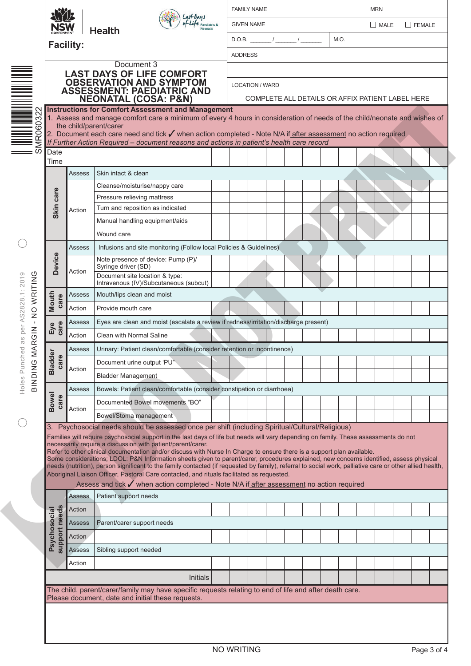|                               |                  | <b>Health</b>                                                                                                                                                                                                                                                                                                                                                                                                                                                                                                                                                                                                                                                                                                                                                                                                                                                                                                                     |                                                  |                        |  |  |  |  | M.O. |  |  |  |  |  |
|-------------------------------|------------------|-----------------------------------------------------------------------------------------------------------------------------------------------------------------------------------------------------------------------------------------------------------------------------------------------------------------------------------------------------------------------------------------------------------------------------------------------------------------------------------------------------------------------------------------------------------------------------------------------------------------------------------------------------------------------------------------------------------------------------------------------------------------------------------------------------------------------------------------------------------------------------------------------------------------------------------|--------------------------------------------------|------------------------|--|--|--|--|------|--|--|--|--|--|
|                               | <b>Facility:</b> |                                                                                                                                                                                                                                                                                                                                                                                                                                                                                                                                                                                                                                                                                                                                                                                                                                                                                                                                   | <b>ADDRESS</b>                                   |                        |  |  |  |  |      |  |  |  |  |  |
|                               |                  | Document 3                                                                                                                                                                                                                                                                                                                                                                                                                                                                                                                                                                                                                                                                                                                                                                                                                                                                                                                        |                                                  |                        |  |  |  |  |      |  |  |  |  |  |
|                               |                  | <b>LAST DAYS OF LIFE COMFORT<br/>OBSERVATION AND SYMPTOM<br/>ASSESSMENT: PAEDIATRIC AND</b>                                                                                                                                                                                                                                                                                                                                                                                                                                                                                                                                                                                                                                                                                                                                                                                                                                       |                                                  | <b>LOCATION / WARD</b> |  |  |  |  |      |  |  |  |  |  |
|                               |                  |                                                                                                                                                                                                                                                                                                                                                                                                                                                                                                                                                                                                                                                                                                                                                                                                                                                                                                                                   | COMPLETE ALL DETAILS OR AFFIX PATIENT LABEL HERE |                        |  |  |  |  |      |  |  |  |  |  |
|                               |                  | <b>NEONATAL (COSA: P&amp;N)</b><br><b>Instructions for Comfort Assessment and Management</b>                                                                                                                                                                                                                                                                                                                                                                                                                                                                                                                                                                                                                                                                                                                                                                                                                                      |                                                  |                        |  |  |  |  |      |  |  |  |  |  |
|                               |                  | 1. Assess and manage comfort care a minimum of every 4 hours in consideration of needs of the child/neonate and wishes of<br>the child/parent/carer                                                                                                                                                                                                                                                                                                                                                                                                                                                                                                                                                                                                                                                                                                                                                                               |                                                  |                        |  |  |  |  |      |  |  |  |  |  |
|                               |                  | 2. Document each care need and tick ✔ when action completed - Note N/A if after assessment no action required                                                                                                                                                                                                                                                                                                                                                                                                                                                                                                                                                                                                                                                                                                                                                                                                                     |                                                  |                        |  |  |  |  |      |  |  |  |  |  |
| Date                          |                  | If Further Action Required - document reasons and actions in patient's health care record                                                                                                                                                                                                                                                                                                                                                                                                                                                                                                                                                                                                                                                                                                                                                                                                                                         |                                                  |                        |  |  |  |  |      |  |  |  |  |  |
| Time                          |                  |                                                                                                                                                                                                                                                                                                                                                                                                                                                                                                                                                                                                                                                                                                                                                                                                                                                                                                                                   |                                                  |                        |  |  |  |  |      |  |  |  |  |  |
|                               | <b>Assess</b>    | Skin intact & clean                                                                                                                                                                                                                                                                                                                                                                                                                                                                                                                                                                                                                                                                                                                                                                                                                                                                                                               |                                                  |                        |  |  |  |  |      |  |  |  |  |  |
|                               |                  | Cleanse/moisturise/nappy care                                                                                                                                                                                                                                                                                                                                                                                                                                                                                                                                                                                                                                                                                                                                                                                                                                                                                                     |                                                  |                        |  |  |  |  |      |  |  |  |  |  |
| care                          |                  | Pressure relieving mattress                                                                                                                                                                                                                                                                                                                                                                                                                                                                                                                                                                                                                                                                                                                                                                                                                                                                                                       |                                                  |                        |  |  |  |  |      |  |  |  |  |  |
| Skin                          | Action           | Turn and reposition as indicated                                                                                                                                                                                                                                                                                                                                                                                                                                                                                                                                                                                                                                                                                                                                                                                                                                                                                                  |                                                  |                        |  |  |  |  |      |  |  |  |  |  |
|                               |                  | Manual handling equipment/aids                                                                                                                                                                                                                                                                                                                                                                                                                                                                                                                                                                                                                                                                                                                                                                                                                                                                                                    |                                                  |                        |  |  |  |  |      |  |  |  |  |  |
|                               |                  | Wound care                                                                                                                                                                                                                                                                                                                                                                                                                                                                                                                                                                                                                                                                                                                                                                                                                                                                                                                        |                                                  |                        |  |  |  |  |      |  |  |  |  |  |
|                               | Assess           | Infusions and site monitoring (Follow local Policies & Guidelines)                                                                                                                                                                                                                                                                                                                                                                                                                                                                                                                                                                                                                                                                                                                                                                                                                                                                |                                                  |                        |  |  |  |  |      |  |  |  |  |  |
| <b>Device</b>                 |                  | Note presence of device: Pump (P)/<br>Syringe driver (SD)                                                                                                                                                                                                                                                                                                                                                                                                                                                                                                                                                                                                                                                                                                                                                                                                                                                                         |                                                  |                        |  |  |  |  |      |  |  |  |  |  |
|                               | Action           | Document site location & type:<br>Intravenous (IV)/Subcutaneous (subcut)                                                                                                                                                                                                                                                                                                                                                                                                                                                                                                                                                                                                                                                                                                                                                                                                                                                          |                                                  |                        |  |  |  |  |      |  |  |  |  |  |
|                               | Assess           | Mouth/lips clean and moist                                                                                                                                                                                                                                                                                                                                                                                                                                                                                                                                                                                                                                                                                                                                                                                                                                                                                                        |                                                  |                        |  |  |  |  |      |  |  |  |  |  |
| Mouth<br>care                 | Action           | Provide mouth care                                                                                                                                                                                                                                                                                                                                                                                                                                                                                                                                                                                                                                                                                                                                                                                                                                                                                                                |                                                  |                        |  |  |  |  |      |  |  |  |  |  |
|                               | Assess           | Eyes are clean and moist (escalate a review if redness/irritation/discharge present)                                                                                                                                                                                                                                                                                                                                                                                                                                                                                                                                                                                                                                                                                                                                                                                                                                              |                                                  |                        |  |  |  |  |      |  |  |  |  |  |
| Eye<br>care                   | Action           | Clean with Normal Saline                                                                                                                                                                                                                                                                                                                                                                                                                                                                                                                                                                                                                                                                                                                                                                                                                                                                                                          |                                                  |                        |  |  |  |  |      |  |  |  |  |  |
|                               | Assess           | Urinary: Patient clean/comfortable (consider retention or incontinence)                                                                                                                                                                                                                                                                                                                                                                                                                                                                                                                                                                                                                                                                                                                                                                                                                                                           |                                                  |                        |  |  |  |  |      |  |  |  |  |  |
| Θr                            |                  | Document urine output 'PU"                                                                                                                                                                                                                                                                                                                                                                                                                                                                                                                                                                                                                                                                                                                                                                                                                                                                                                        |                                                  |                        |  |  |  |  |      |  |  |  |  |  |
| <b>Bladd</b><br>care          | Action           |                                                                                                                                                                                                                                                                                                                                                                                                                                                                                                                                                                                                                                                                                                                                                                                                                                                                                                                                   |                                                  |                        |  |  |  |  |      |  |  |  |  |  |
|                               |                  | <b>Bladder Management</b>                                                                                                                                                                                                                                                                                                                                                                                                                                                                                                                                                                                                                                                                                                                                                                                                                                                                                                         |                                                  |                        |  |  |  |  |      |  |  |  |  |  |
|                               | <b>Assess</b>    | Bowels: Patient clean/comfortable (consider constipation or diarrhoea)                                                                                                                                                                                                                                                                                                                                                                                                                                                                                                                                                                                                                                                                                                                                                                                                                                                            |                                                  |                        |  |  |  |  |      |  |  |  |  |  |
| <b>Bowel</b><br>care          | Action           | Documented Bowel movements "BO"                                                                                                                                                                                                                                                                                                                                                                                                                                                                                                                                                                                                                                                                                                                                                                                                                                                                                                   |                                                  |                        |  |  |  |  |      |  |  |  |  |  |
|                               |                  | Bowel/Stoma management                                                                                                                                                                                                                                                                                                                                                                                                                                                                                                                                                                                                                                                                                                                                                                                                                                                                                                            |                                                  |                        |  |  |  |  |      |  |  |  |  |  |
| 3.                            |                  | Psychosocial needs should be assessed once per shift (including Spiritual/Cultural/Religious)<br>Families will require psychosocial support in the last days of life but needs will vary depending on family. These assessments do not<br>necessarily require a discussion with patient/parent/carer.<br>Refer to other clinical documentation and/or discuss with Nurse In Charge to ensure there is a support plan available.<br>Some considerations; LDOL: P&N Information sheets given to parent/carer, procedures explained, new concerns identified, assess physical<br>needs (nutrition), person significant to the family contacted (if requested by family), referral to social work, palliative care or other allied health,<br>Aboriginal Liaison Officer, Pastoral Care contacted, and rituals facilitated as requested.<br>Assess and tick ✔ when action completed - Note N/A if after assessment no action required |                                                  |                        |  |  |  |  |      |  |  |  |  |  |
|                               | <b>Assess</b>    | Patient support needs                                                                                                                                                                                                                                                                                                                                                                                                                                                                                                                                                                                                                                                                                                                                                                                                                                                                                                             |                                                  |                        |  |  |  |  |      |  |  |  |  |  |
|                               | Action           |                                                                                                                                                                                                                                                                                                                                                                                                                                                                                                                                                                                                                                                                                                                                                                                                                                                                                                                                   |                                                  |                        |  |  |  |  |      |  |  |  |  |  |
| support needs<br>Psychosocial | Assess           | Parent/carer support needs                                                                                                                                                                                                                                                                                                                                                                                                                                                                                                                                                                                                                                                                                                                                                                                                                                                                                                        |                                                  |                        |  |  |  |  |      |  |  |  |  |  |
|                               | Action           |                                                                                                                                                                                                                                                                                                                                                                                                                                                                                                                                                                                                                                                                                                                                                                                                                                                                                                                                   |                                                  |                        |  |  |  |  |      |  |  |  |  |  |
|                               |                  | Sibling support needed                                                                                                                                                                                                                                                                                                                                                                                                                                                                                                                                                                                                                                                                                                                                                                                                                                                                                                            |                                                  |                        |  |  |  |  |      |  |  |  |  |  |
|                               | Assess           |                                                                                                                                                                                                                                                                                                                                                                                                                                                                                                                                                                                                                                                                                                                                                                                                                                                                                                                                   |                                                  |                        |  |  |  |  |      |  |  |  |  |  |
|                               | Action           |                                                                                                                                                                                                                                                                                                                                                                                                                                                                                                                                                                                                                                                                                                                                                                                                                                                                                                                                   |                                                  |                        |  |  |  |  |      |  |  |  |  |  |
|                               |                  | Initials                                                                                                                                                                                                                                                                                                                                                                                                                                                                                                                                                                                                                                                                                                                                                                                                                                                                                                                          |                                                  |                        |  |  |  |  |      |  |  |  |  |  |
|                               |                  | The child, parent/carer/family may have specific requests relating to end of life and after death care.<br>Please document, date and initial these requests.                                                                                                                                                                                                                                                                                                                                                                                                                                                                                                                                                                                                                                                                                                                                                                      |                                                  |                        |  |  |  |  |      |  |  |  |  |  |